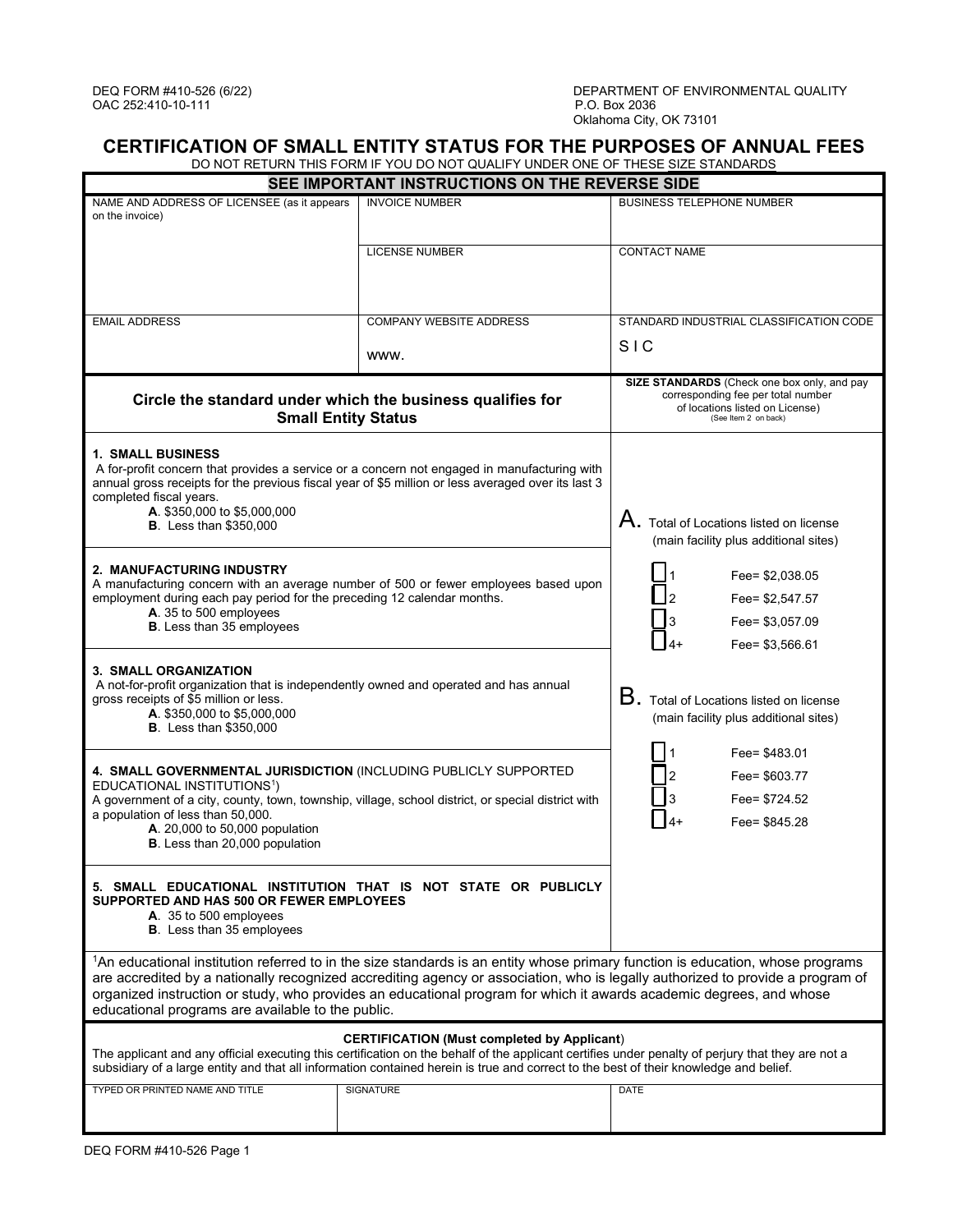## **CERTIFICATION OF SMALL ENTITY STATUS FOR THE PURPOSES OF ANNUAL FEES**

DO NOT RETURN THIS FORM IF YOU DO NOT QUALIFY UNDER ONE OF THESE SIZE STANDARDS

| SEE IMPORTANT INSTRUCTIONS ON THE REVERSE SIDE                                                                                                                                                                                                                                                                                                                                                                                                           |                                                                                                    |                                                                                                                                              |
|----------------------------------------------------------------------------------------------------------------------------------------------------------------------------------------------------------------------------------------------------------------------------------------------------------------------------------------------------------------------------------------------------------------------------------------------------------|----------------------------------------------------------------------------------------------------|----------------------------------------------------------------------------------------------------------------------------------------------|
| NAME AND ADDRESS OF LICENSEE (as it appears<br>on the invoice)                                                                                                                                                                                                                                                                                                                                                                                           | <b>INVOICE NUMBER</b>                                                                              | <b>BUSINESS TELEPHONE NUMBER</b>                                                                                                             |
|                                                                                                                                                                                                                                                                                                                                                                                                                                                          | <b>LICENSE NUMBER</b>                                                                              | <b>CONTACT NAME</b>                                                                                                                          |
| <b>EMAIL ADDRESS</b>                                                                                                                                                                                                                                                                                                                                                                                                                                     | <b>COMPANY WEBSITE ADDRESS</b>                                                                     | STANDARD INDUSTRIAL CLASSIFICATION CODE                                                                                                      |
|                                                                                                                                                                                                                                                                                                                                                                                                                                                          | www.                                                                                               | SIC                                                                                                                                          |
| Circle the standard under which the business qualifies for<br><b>Small Entity Status</b>                                                                                                                                                                                                                                                                                                                                                                 |                                                                                                    | SIZE STANDARDS (Check one box only, and pay<br>corresponding fee per total number<br>of locations listed on License)<br>(See Item 2 on back) |
| <b>1. SMALL BUSINESS</b><br>A for-profit concern that provides a service or a concern not engaged in manufacturing with<br>annual gross receipts for the previous fiscal year of \$5 million or less averaged over its last 3<br>completed fiscal years.<br>A. \$350,000 to \$5,000,000<br><b>B</b> . Less than \$350,000                                                                                                                                |                                                                                                    | ${\sf A}.$ Total of Locations listed on license<br>(main facility plus additional sites)                                                     |
| 2. MANUFACTURING INDUSTRY<br>A manufacturing concern with an average number of 500 or fewer employees based upon<br>employment during each pay period for the preceding 12 calendar months.<br>A. 35 to 500 employees<br><b>B.</b> Less than 35 employees                                                                                                                                                                                                |                                                                                                    | Fee= \$2,038.05<br>Fee= \$2,547.57<br>Fee= \$3,057.09<br>Fee= \$3,566.61                                                                     |
| <b>3. SMALL ORGANIZATION</b><br>A not-for-profit organization that is independently owned and operated and has annual<br>gross receipts of \$5 million or less.<br>A. \$350,000 to \$5,000,000<br><b>B</b> . Less than \$350,000                                                                                                                                                                                                                         |                                                                                                    | $B.$ Total of Locations listed on license<br>(main facility plus additional sites)                                                           |
| 4. SMALL GOVERNMENTAL JURISDICTION (INCLUDING PUBLICLY SUPPORTED<br>EDUCATIONAL INSTITUTIONS <sup>1</sup> )<br>a population of less than 50,000.<br>A. 20,000 to 50,000 population<br>B. Less than 20,000 population                                                                                                                                                                                                                                     | A government of a city, county, town, township, village, school district, or special district with | Fee= \$483.01<br>Fee= \$603.77<br>Fee= \$724.52<br>Fee= \$845.28                                                                             |
| 5. SMALL EDUCATIONAL INSTITUTION THAT IS NOT STATE OR PUBLICLY<br>SUPPORTED AND HAS 500 OR FEWER EMPLOYEES<br>A. 35 to 500 employees<br><b>B</b> . Less than 35 employees                                                                                                                                                                                                                                                                                |                                                                                                    |                                                                                                                                              |
| <sup>1</sup> An educational institution referred to in the size standards is an entity whose primary function is education, whose programs<br>are accredited by a nationally recognized accrediting agency or association, who is legally authorized to provide a program of<br>organized instruction or study, who provides an educational program for which it awards academic degrees, and whose<br>educational programs are available to the public. |                                                                                                    |                                                                                                                                              |
| <b>CERTIFICATION (Must completed by Applicant)</b><br>The applicant and any official executing this certification on the behalf of the applicant certifies under penalty of perjury that they are not a<br>subsidiary of a large entity and that all information contained herein is true and correct to the best of their knowledge and belief.                                                                                                         |                                                                                                    |                                                                                                                                              |
| TYPED OR PRINTED NAME AND TITLE                                                                                                                                                                                                                                                                                                                                                                                                                          | <b>SIGNATURE</b>                                                                                   | <b>DATE</b>                                                                                                                                  |